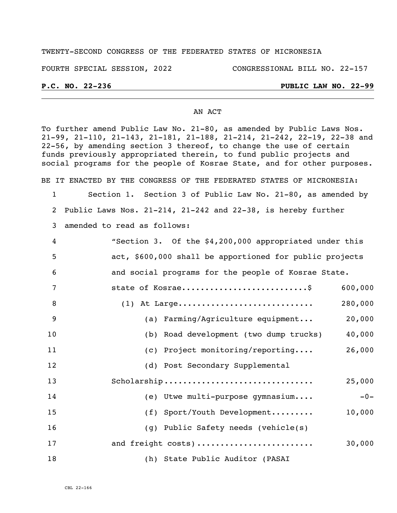## TWENTY-SECOND CONGRESS OF THE FEDERATED STATES OF MICRONESIA

FOURTH SPECIAL SESSION, 2022 CONGRESSIONAL BILL NO. 22-157

## **P.C. NO. 22-236 PUBLIC LAW NO. 22-99**

### AN ACT

To further amend Public Law No. 21-80, as amended by Public Laws Nos. 21-99, 21-110, 21-143, 21-181, 21-188, 21-214, 21-242, 22-19, 22-38 and 22-56, by amending section 3 thereof, to change the use of certain funds previously appropriated therein, to fund public projects and social programs for the people of Kosrae State, and for other purposes. BE IT ENACTED BY THE CONGRESS OF THE FEDERATED STATES OF MICRONESIA: 1 Section 1. Section 3 of Public Law No. 21-80, as amended by 2 Public Laws Nos. 21-214, 21-242 and 22-38, is hereby further 3 amended to read as follows: 4 "Section 3. Of the \$4,200,000 appropriated under this 5 act, \$600,000 shall be apportioned for public projects 6 and social programs for the people of Kosrae State. 7 state of Kosrae................................\$ 600,000 8 (1) At Large............................. 280,000 9 (a) Farming/Agriculture equipment... 20,000 10 (b) Road development (two dump trucks) 40,000 11 (c) Project monitoring/reporting.... 26,000 12 (d) Post Secondary Supplemental 13 Scholarship ................................ 25,000 14 (e) Utwe multi-purpose gymnasium.... - 0-15 (f) Sport/Youth Development......... 10,000 16 (g) Public Safety needs (vehicle(s) 17 and freight costs) ......................... 30,000 18 (h) State Public Auditor (PASAI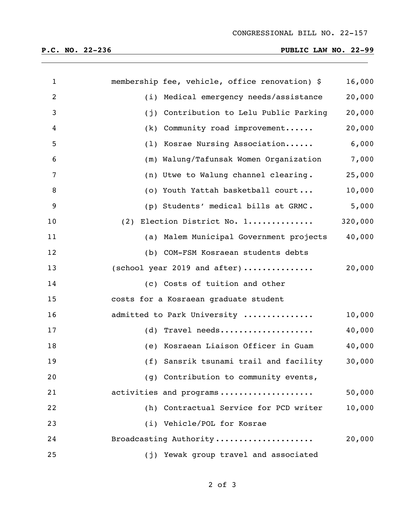# **P.C. NO. 22-236 PUBLIC LAW NO. 22-99**

| $\mathbf{1}$   | membership fee, vehicle, office renovation) \$ | 16,000  |
|----------------|------------------------------------------------|---------|
| $\overline{2}$ | (i) Medical emergency needs/assistance         | 20,000  |
| 3              | Contribution to Lelu Public Parking<br>(j)     | 20,000  |
| 4              | Community road improvement<br>(k)              | 20,000  |
| 5              | (1) Kosrae Nursing Association                 | 6,000   |
| 6              | (m) Walung/Tafunsak Women Organization         | 7,000   |
| 7              | (n) Utwe to Walung channel clearing.           | 25,000  |
| 8              | (o) Youth Yattah basketball court              | 10,000  |
| 9              | (p) Students' medical bills at GRMC.           | 5,000   |
| 10             | (2) Election District No. 1                    | 320,000 |
| 11             | (a) Malem Municipal Government projects        | 40,000  |
| 12             | (b) COM-FSM Kosraean students debts            |         |
| 13             | (school year 2019 and after)                   | 20,000  |
| 14             | (c) Costs of tuition and other                 |         |
| 15             | costs for a Kosraean graduate student          |         |
| 16             | admitted to Park University                    | 10,000  |
| 17             | (d) Travel needs                               | 40,000  |
| 18             | (e) Kosraean Liaison Officer in Guam           | 40,000  |
| 19             | (f) Sansrik tsunami trail and facility         | 30,000  |
| 20             | (g) Contribution to community events,          |         |
| 21             | activities and programs                        | 50,000  |
| 22             | (h) Contractual Service for PCD writer         | 10,000  |
| 23             | (i) Vehicle/POL for Kosrae                     |         |
| 24             | Broadcasting Authority                         | 20,000  |
| 25             | (j) Yewak group travel and associated          |         |